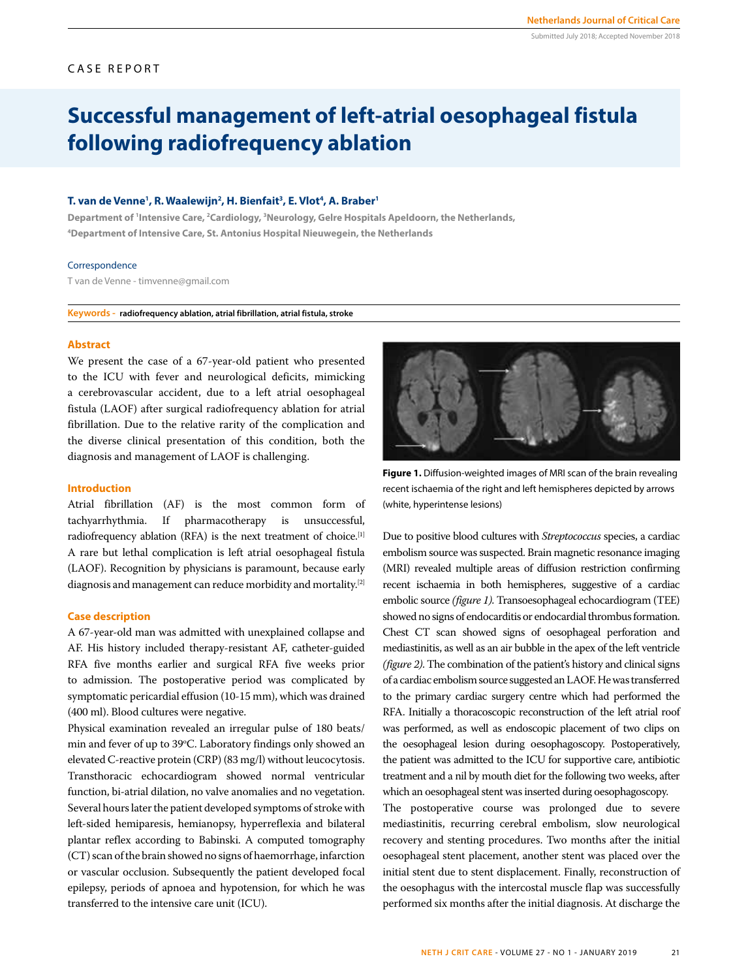# CASE REPORT

# **Successful management of left-atrial oesophageal fistula following radiofrequency ablation**

## **T. van de Venne<sup>1</sup>, R. Waalewijn<sup>2</sup>, H. Bienfait<sup>3</sup>, E. Vlot<sup>4</sup>, A. Braber<sup>1</sup>**

Department of <sup>1</sup>Intensive Care, <sup>2</sup>Cardiology, <sup>3</sup>Neurology, Gelre Hospitals Apeldoorn, the Netherlands, **4 Department of Intensive Care, St. Antonius Hospital Nieuwegein, the Netherlands**

## Correspondence

T van de Venne - timvenne@gmail.com

**Keywords - radiofrequency ablation, atrial fibrillation, atrial fistula, stroke**

## **Abstract**

We present the case of a 67-year-old patient who presented to the ICU with fever and neurological deficits, mimicking a cerebrovascular accident, due to a left atrial oesophageal fistula (LAOF) after surgical radiofrequency ablation for atrial fibrillation. Due to the relative rarity of the complication and the diverse clinical presentation of this condition, both the diagnosis and management of LAOF is challenging.

#### **Introduction**

Atrial fibrillation (AF) is the most common form of tachyarrhythmia. If pharmacotherapy is unsuccessful, radiofrequency ablation (RFA) is the next treatment of choice.[1] A rare but lethal complication is left atrial oesophageal fistula (LAOF). Recognition by physicians is paramount, because early diagnosis and management can reduce morbidity and mortality.[2]

## **Case description**

A 67-year-old man was admitted with unexplained collapse and AF. His history included therapy-resistant AF, catheter-guided RFA five months earlier and surgical RFA five weeks prior to admission. The postoperative period was complicated by symptomatic pericardial effusion (10-15 mm), which was drained (400 ml). Blood cultures were negative.

Physical examination revealed an irregular pulse of 180 beats/ min and fever of up to 39°C. Laboratory findings only showed an elevated C-reactive protein (CRP) (83 mg/l) without leucocytosis. Transthoracic echocardiogram showed normal ventricular function, bi-atrial dilation, no valve anomalies and no vegetation. Several hours later the patient developed symptoms of stroke with left-sided hemiparesis, hemianopsy, hyperreflexia and bilateral plantar reflex according to Babinski. A computed tomography (CT) scan of the brain showed no signs of haemorrhage, infarction or vascular occlusion. Subsequently the patient developed focal epilepsy, periods of apnoea and hypotension, for which he was transferred to the intensive care unit (ICU).



**Figure 1.** Diffusion-weighted images of MRI scan of the brain revealing recent ischaemia of the right and left hemispheres depicted by arrows (white, hyperintense lesions)

Due to positive blood cultures with *Streptococcus* species, a cardiac embolism source was suspected. Brain magnetic resonance imaging (MRI) revealed multiple areas of diffusion restriction confirming recent ischaemia in both hemispheres, suggestive of a cardiac embolic source *(figure 1)*. Transoesophageal echocardiogram (TEE) showed no signs of endocarditis or endocardial thrombus formation. Chest CT scan showed signs of oesophageal perforation and mediastinitis, as well as an air bubble in the apex of the left ventricle *(figure 2)*. The combination of the patient's history and clinical signs of a cardiac embolism source suggested an LAOF. He was transferred to the primary cardiac surgery centre which had performed the RFA. Initially a thoracoscopic reconstruction of the left atrial roof was performed, as well as endoscopic placement of two clips on the oesophageal lesion during oesophagoscopy. Postoperatively, the patient was admitted to the ICU for supportive care, antibiotic treatment and a nil by mouth diet for the following two weeks, after which an oesophageal stent was inserted during oesophagoscopy.

The postoperative course was prolonged due to severe mediastinitis, recurring cerebral embolism, slow neurological recovery and stenting procedures. Two months after the initial oesophageal stent placement, another stent was placed over the initial stent due to stent displacement. Finally, reconstruction of the oesophagus with the intercostal muscle flap was successfully performed six months after the initial diagnosis. At discharge the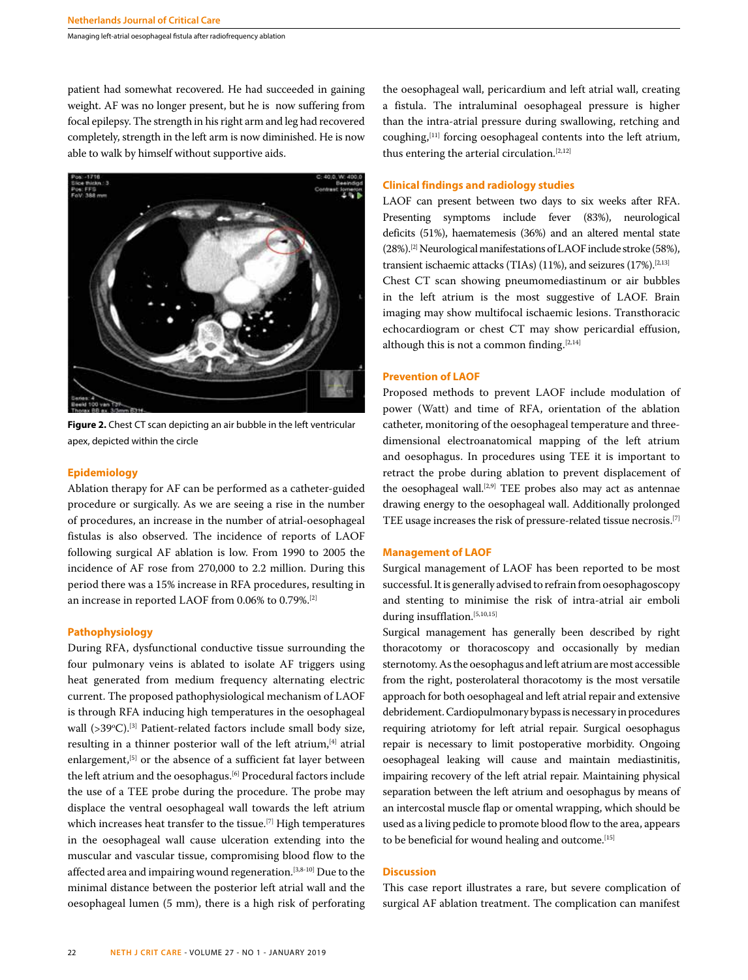patient had somewhat recovered. He had succeeded in gaining weight. AF was no longer present, but he is now suffering from focal epilepsy. The strength in his right arm and leg had recovered completely, strength in the left arm is now diminished. He is now able to walk by himself without supportive aids.



**Figure 2.** Chest CT scan depicting an air bubble in the left ventricular apex, depicted within the circle

## **Epidemiology**

Ablation therapy for AF can be performed as a catheter-guided procedure or surgically. As we are seeing a rise in the number of procedures, an increase in the number of atrial-oesophageal fistulas is also observed. The incidence of reports of LAOF following surgical AF ablation is low. From 1990 to 2005 the incidence of AF rose from 270,000 to 2.2 million. During this period there was a 15% increase in RFA procedures, resulting in an increase in reported LAOF from 0.06% to 0.79%.[2]

#### **Pathophysiology**

During RFA, dysfunctional conductive tissue surrounding the four pulmonary veins is ablated to isolate AF triggers using heat generated from medium frequency alternating electric current. The proposed pathophysiological mechanism of LAOF is through RFA inducing high temperatures in the oesophageal wall (>39°C).<sup>[3]</sup> Patient-related factors include small body size, resulting in a thinner posterior wall of the left atrium,[4] atrial enlargement,<sup>[5]</sup> or the absence of a sufficient fat layer between the left atrium and the oesophagus.[6] Procedural factors include the use of a TEE probe during the procedure. The probe may displace the ventral oesophageal wall towards the left atrium which increases heat transfer to the tissue.<sup>[7]</sup> High temperatures in the oesophageal wall cause ulceration extending into the muscular and vascular tissue, compromising blood flow to the affected area and impairing wound regeneration.[3,8-10] Due to the minimal distance between the posterior left atrial wall and the oesophageal lumen (5 mm), there is a high risk of perforating

the oesophageal wall, pericardium and left atrial wall, creating a fistula. The intraluminal oesophageal pressure is higher than the intra-atrial pressure during swallowing, retching and coughing,[11] forcing oesophageal contents into the left atrium, thus entering the arterial circulation.<sup>[2,12]</sup>

## **Clinical findings and radiology studies**

LAOF can present between two days to six weeks after RFA. Presenting symptoms include fever (83%), neurological deficits (51%), haematemesis (36%) and an altered mental state (28%).[2] Neurological manifestations of LAOF include stroke (58%), transient ischaemic attacks (TIAs)  $(11\%)$ , and seizures  $(17\%)$ .<sup>[2,13]</sup>

Chest CT scan showing pneumomediastinum or air bubbles in the left atrium is the most suggestive of LAOF. Brain imaging may show multifocal ischaemic lesions. Transthoracic echocardiogram or chest CT may show pericardial effusion, although this is not a common finding.<sup>[2,14]</sup>

#### **Prevention of LAOF**

Proposed methods to prevent LAOF include modulation of power (Watt) and time of RFA, orientation of the ablation catheter, monitoring of the oesophageal temperature and threedimensional electroanatomical mapping of the left atrium and oesophagus. In procedures using TEE it is important to retract the probe during ablation to prevent displacement of the oesophageal wall.<sup>[2,9]</sup> TEE probes also may act as antennae drawing energy to the oesophageal wall. Additionally prolonged TEE usage increases the risk of pressure-related tissue necrosis.[7]

## **Management of LAOF**

Surgical management of LAOF has been reported to be most successful. It is generally advised to refrain from oesophagoscopy and stenting to minimise the risk of intra-atrial air emboli during insufflation.<sup>[5,10,15]</sup>

Surgical management has generally been described by right thoracotomy or thoracoscopy and occasionally by median sternotomy. As the oesophagus and left atrium are most accessible from the right, posterolateral thoracotomy is the most versatile approach for both oesophageal and left atrial repair and extensive debridement. Cardiopulmonary bypass is necessary in procedures requiring atriotomy for left atrial repair. Surgical oesophagus repair is necessary to limit postoperative morbidity. Ongoing oesophageal leaking will cause and maintain mediastinitis, impairing recovery of the left atrial repair. Maintaining physical separation between the left atrium and oesophagus by means of an intercostal muscle flap or omental wrapping, which should be used as a living pedicle to promote blood flow to the area, appears to be beneficial for wound healing and outcome.[15]

## **Discussion**

This case report illustrates a rare, but severe complication of surgical AF ablation treatment. The complication can manifest